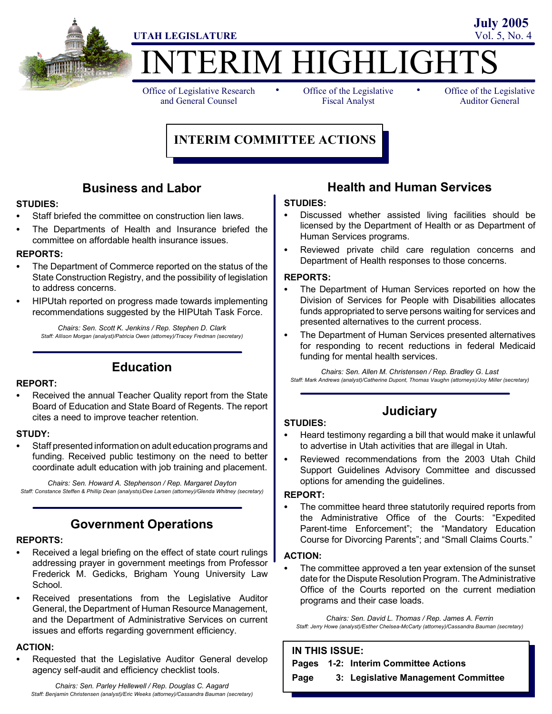

## **TERIM HIGHLIGHT**

Office of Legislative Research and General Counsel

• Office of the Legislative • Fiscal Analyst

Office of the Legislative Auditor General

**July 2005**

## **INTERIM COMMITTEE ACTIONS**

## **Business and Labor**

#### **STUDIES:**

- Staff briefed the committee on construction lien laws.
- The Departments of Health and Insurance briefed the committee on affordable health insurance issues.

#### **REPORTS:**

- The Department of Commerce reported on the status of the State Construction Registry, and the possibility of legislation to address concerns.
- HIPUtah reported on progress made towards implementing recommendations suggested by the HIPUtah Task Force.

*Chairs: Sen. Scott K. Jenkins / Rep. Stephen D. Clark Staff: Allison Morgan (analyst)/Patricia Owen (attorney)/Tracey Fredman (secretary)*

## **Education**

#### **REPORT:**

Received the annual Teacher Quality report from the State Board of Education and State Board of Regents. The report cites a need to improve teacher retention.

#### **STUDY:**

Staff presented information on adult education programs and funding. Received public testimony on the need to better coordinate adult education with job training and placement.

*Chairs: Sen. Howard A. Stephenson / Rep. Margaret Dayton Staff: Constance Steffen & Phillip Dean (analysts)/Dee Larsen (attorney)/Glenda Whitney (secretary)*

## **Government Operations**

#### **REPORTS:**

- Received a legal briefing on the effect of state court rulings addressing prayer in government meetings from Professor Frederick M. Gedicks, Brigham Young University Law School.
- Received presentations from the Legislative Auditor General, the Department of Human Resource Management, and the Department of Administrative Services on current issues and efforts regarding government efficiency.

#### **ACTION:**

Requested that the Legislative Auditor General develop agency self-audit and efficiency checklist tools.

*Chairs: Sen. Parley Hellewell / Rep. Douglas C. Aagard Staff: Benjamin Christensen (analyst)/Eric Weeks (attorney)/Cassandra Bauman (secretary)*

## **Health and Human Services**

#### **STUDIES:**

- Discussed whether assisted living facilities should be licensed by the Department of Health or as Department of Human Services programs.
- Reviewed private child care regulation concerns and Department of Health responses to those concerns.

#### **REPORTS:**

- The Department of Human Services reported on how the Division of Services for People with Disabilities allocates funds appropriated to serve persons waiting for services and presented alternatives to the current process.
- The Department of Human Services presented alternatives for responding to recent reductions in federal Medicaid funding for mental health services.

*Chairs: Sen. Allen M. Christensen / Rep. Bradley G. Last Staff: Mark Andrews (analyst)/Catherine Dupont, Thomas Vaughn (attorneys)/Joy Miller (secretary)*

## **Judiciary**

#### **STUDIES:**

- Heard testimony regarding a bill that would make it unlawful to advertise in Utah activities that are illegal in Utah.
- Reviewed recommendations from the 2003 Utah Child Support Guidelines Advisory Committee and discussed options for amending the guidelines.

#### **REPORT:**

The committee heard three statutorily required reports from the Administrative Office of the Courts: "Expedited Parent-time Enforcement"; the "Mandatory Education Course for Divorcing Parents"; and "Small Claims Courts."

#### **ACTION:**

The committee approved a ten year extension of the sunset date for the Dispute Resolution Program. The Administrative Office of the Courts reported on the current mediation programs and their case loads.

*Chairs: Sen. David L. Thomas / Rep. James A. Ferrin Staff: Jerry Howe (analyst)/Esther Chelsea-McCarty (attorney)/Cassandra Bauman (secretary)*

## **IN THIS ISSUE:**

**Pages 1-2: Interim Committee Actions**

**Page 3: Legislative Management Committee**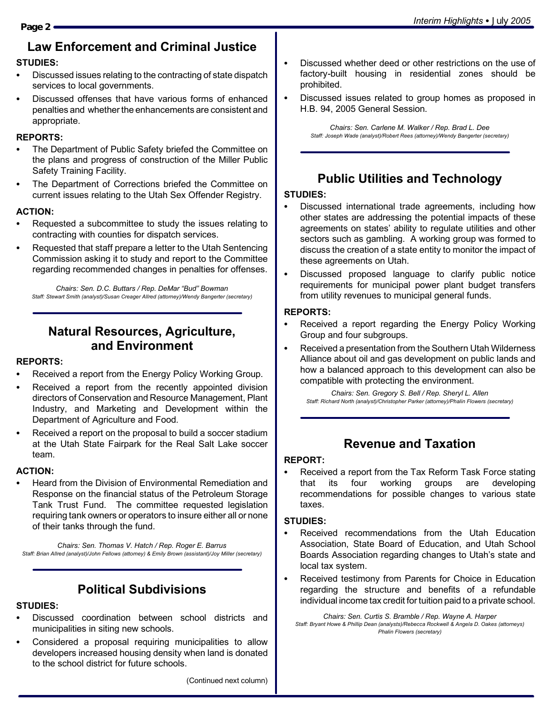## **Law Enforcement and Criminal Justice**

#### **STUDIES:**

- Discussed issues relating to the contracting of state dispatch services to local governments.
- Discussed offenses that have various forms of enhanced penalties and whether the enhancements are consistent and appropriate.

#### **REPORTS:**

- The Department of Public Safety briefed the Committee on the plans and progress of construction of the Miller Public Safety Training Facility.
- The Department of Corrections briefed the Committee on current issues relating to the Utah Sex Offender Registry.

#### **ACTION:**

- Requested a subcommittee to study the issues relating to contracting with counties for dispatch services.
- Requested that staff prepare a letter to the Utah Sentencing Commission asking it to study and report to the Committee regarding recommended changes in penalties for offenses.

*Chairs: Sen. D.C. Buttars / Rep. DeMar "Bud" Bowman Staff: Stewart Smith (analyst)/Susan Creager Allred (attorney)/Wendy Bangerter (secretary)*

## **Natural Resources, Agriculture, and Environment**

#### **REPORTS:**

- Received a report from the Energy Policy Working Group.
- Received a report from the recently appointed division directors of Conservation and Resource Management, Plant Industry, and Marketing and Development within the Department of Agriculture and Food.
- Received a report on the proposal to build a soccer stadium at the Utah State Fairpark for the Real Salt Lake soccer team.

#### **ACTION:**

Heard from the Division of Environmental Remediation and Response on the financial status of the Petroleum Storage Tank Trust Fund. The committee requested legislation requiring tank owners or operators to insure either all or none of their tanks through the fund.

*Chairs: Sen. Thomas V. Hatch / Rep. Roger E. Barrus Staff: Brian Allred (analyst)/John Fellows (attorney) & Emily Brown (assistant)/Joy Miller (secretary)*

## **Political Subdivisions**

#### **STUDIES:**

- Discussed coordination between school districts and municipalities in siting new schools.
- Considered a proposal requiring municipalities to allow developers increased housing density when land is donated to the school district for future schools.
- Discussed whether deed or other restrictions on the use of factory-built housing in residential zones should be prohibited.
- Discussed issues related to group homes as proposed in H.B. 94, 2005 General Session.

*Chairs: Sen. Carlene M. Walker / Rep. Brad L. Dee Staff: Joseph Wade (analyst)/Robert Rees (attorney)/Wendy Bangerter (secretary)*

## **Public Utilities and Technology**

#### **STUDIES:**

- Discussed international trade agreements, including how other states are addressing the potential impacts of these agreements on states' ability to regulate utilities and other sectors such as gambling. A working group was formed to discuss the creation of a state entity to monitor the impact of these agreements on Utah.
- Discussed proposed language to clarify public notice requirements for municipal power plant budget transfers from utility revenues to municipal general funds.

#### **REPORTS:**

- Received a report regarding the Energy Policy Working Group and four subgroups.
- Received a presentation from the Southern Utah Wilderness Alliance about oil and gas development on public lands and how a balanced approach to this development can also be compatible with protecting the environment.

*Chairs: Sen. Gregory S. Bell / Rep. Sheryl L. Allen Staff: Richard North (analyst)/Christopher Parker (attorney)/Phalin Flowers (secretary)*

## **Revenue and Taxation**

#### **REPORT:**

Received a report from the Tax Reform Task Force stating that its four working groups are developing recommendations for possible changes to various state taxes.

#### **STUDIES:**

- Received recommendations from the Utah Education Association, State Board of Education, and Utah School Boards Association regarding changes to Utah's state and local tax system.
- Received testimony from Parents for Choice in Education regarding the structure and benefits of a refundable individual income tax credit for tuition paid to a private school.

*Chairs: Sen. Curtis S. Bramble / Rep. Wayne A. Harper Staff: Bryant Howe & Phillip Dean (analysts)/Rebecca Rockwell & Angela D. Oakes (attorneys) Phalin Flowers (secretary)*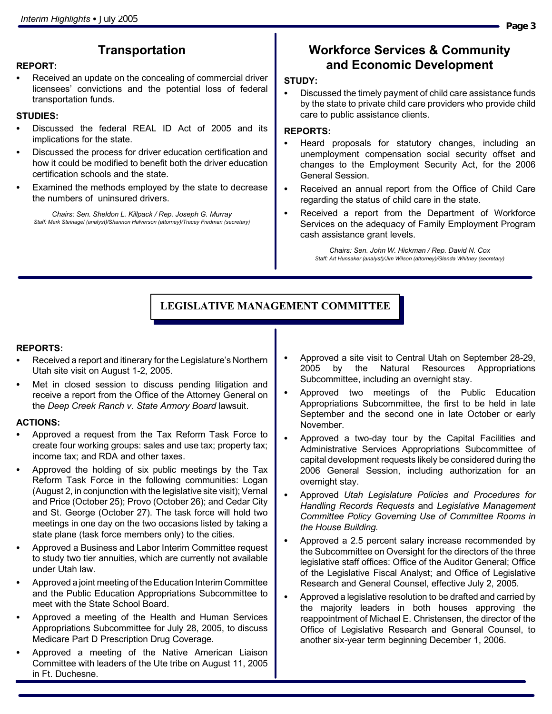## **Transportation**

#### **REPORT:**

Received an update on the concealing of commercial driver licensees' convictions and the potential loss of federal transportation funds.

#### **STUDIES:**

- Discussed the federal REAL ID Act of 2005 and its implications for the state.
- Discussed the process for driver education certification and how it could be modified to benefit both the driver education certification schools and the state.
- Examined the methods employed by the state to decrease the numbers of uninsured drivers.

*Chairs: Sen. Sheldon L. Killpack / Rep. Joseph G. Murray Staff: Mark Steinagel (analyst)/Shannon Halverson (attorney)/Tracey Fredman (secretary)*

## **Workforce Services & Community and Economic Development**

#### **STUDY:**

Discussed the timely payment of child care assistance funds by the state to private child care providers who provide child care to public assistance clients.

#### **REPORTS:**

- Heard proposals for statutory changes, including an unemployment compensation social security offset and changes to the Employment Security Act, for the 2006 General Session.
- Received an annual report from the Office of Child Care regarding the status of child care in the state.
- Received a report from the Department of Workforce Services on the adequacy of Family Employment Program cash assistance grant levels.

*Chairs: Sen. John W. Hickman / Rep. David N. Cox Staff: Art Hunsaker (analyst)/Jim Wilson (attorney)/Glenda Whitney (secretary)*

## **LEGISLATIVE MANAGEMENT COMMITTEE**

#### **REPORTS:**

- Received a report and itinerary for the Legislature's Northern Utah site visit on August 1-2, 2005.
- Met in closed session to discuss pending litigation and receive a report from the Office of the Attorney General on the *Deep Creek Ranch v. State Armory Board* lawsuit.

#### **ACTIONS:**

- Approved a request from the Tax Reform Task Force to create four working groups: sales and use tax; property tax; income tax; and RDA and other taxes.
- Approved the holding of six public meetings by the Tax Reform Task Force in the following communities: Logan (August 2, in conjunction with the legislative site visit); Vernal and Price (October 25); Provo (October 26); and Cedar City and St. George (October 27). The task force will hold two meetings in one day on the two occasions listed by taking a state plane (task force members only) to the cities.
- Approved a Business and Labor Interim Committee request to study two tier annuities, which are currently not available under Utah law.
- Approved a joint meeting of the Education Interim Committee and the Public Education Appropriations Subcommittee to meet with the State School Board.
- Approved a meeting of the Health and Human Services Appropriations Subcommittee for July 28, 2005, to discuss Medicare Part D Prescription Drug Coverage.
- Approved a meeting of the Native American Liaison Committee with leaders of the Ute tribe on August 11, 2005 in Ft. Duchesne.
- Approved a site visit to Central Utah on September 28-29, 2005 by the Natural Resources Appropriations Subcommittee, including an overnight stay.
- Approved two meetings of the Public Education Appropriations Subcommittee, the first to be held in late September and the second one in late October or early November.
- Approved a two-day tour by the Capital Facilities and Administrative Services Appropriations Subcommittee of capital development requests likely be considered during the 2006 General Session, including authorization for an overnight stay.
- Approved *Utah Legislature Policies and Procedures for Handling Records Requests* and *Legislative Management Committee Policy Governing Use of Committee Rooms in the House Building.*
- Approved a 2.5 percent salary increase recommended by the Subcommittee on Oversight for the directors of the three legislative staff offices: Office of the Auditor General; Office of the Legislative Fiscal Analyst; and Office of Legislative Research and General Counsel, effective July 2, 2005.
- Approved a legislative resolution to be drafted and carried by the majority leaders in both houses approving the reappointment of Michael E. Christensen, the director of the Office of Legislative Research and General Counsel, to another six-year term beginning December 1, 2006.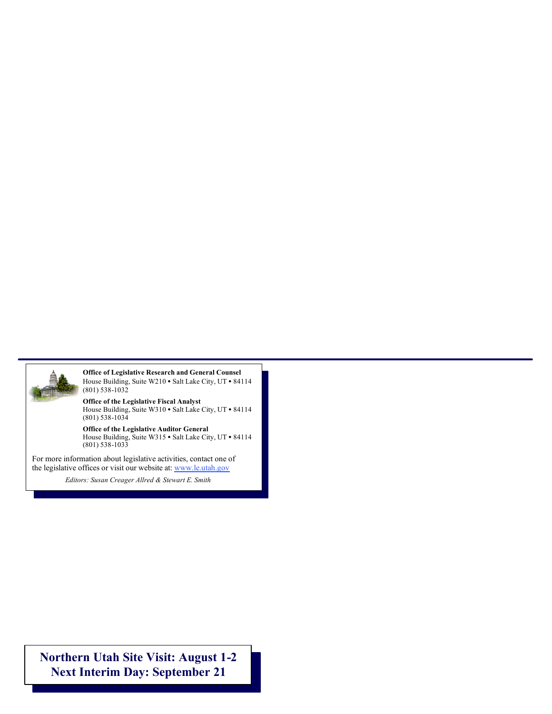

**Office of Legislative Research and General Counsel** House Building, Suite W210 · Salt Lake City, UT · 84114 (801) 538-1032

**Office of the Legislative Fiscal Analyst** House Building, Suite W310  $\bullet$  Salt Lake City, UT  $\bullet$  84114 (801) 538-1034

**Office of the Legislative Auditor General** House Building, Suite W315  $\bullet$  Salt Lake City, UT  $\bullet$  84114 (801) 538-1033

For more information about legislative activities, contact one of the legislative offices or visit our website at: www.le.utah.gov

*Editors: Susan Creager-Allred & Stewart Smith Editors: Susan Creager Allred & Stewart E. Smith*

**Northern Utah Site Visit: August 1-2 Next Interim Day: September 21**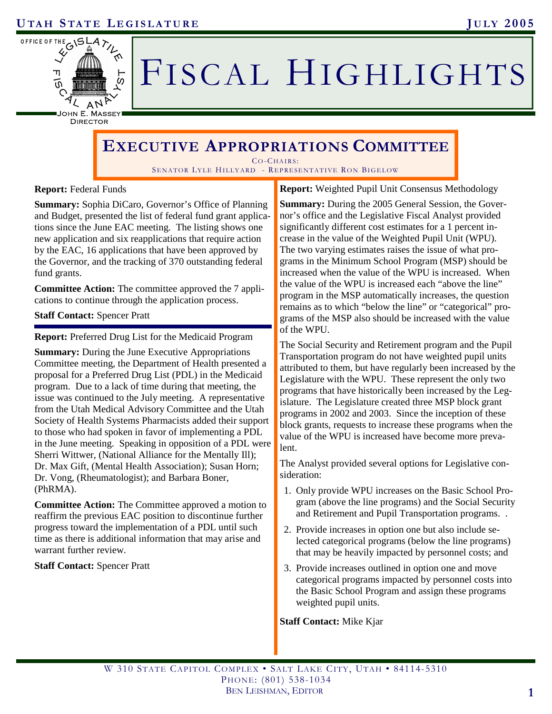

# FISCAL HIGHLIGHTS

DIRECTOR

## **EXECUTIVE APPROPRIATIONS COMMITTEE**

 $CO-CHAIRS$ SENATOR LYLE HILLYARD - REPRESENTATIVE RON BIGELOW

#### **Report:** Federal Funds

**Summary:** Sophia DiCaro, Governor's Office of Planning and Budget, presented the list of federal fund grant applications since the June EAC meeting. The listing shows one new application and six reapplications that require action by the EAC, 16 applications that have been approved by the Governor, and the tracking of 370 outstanding federal fund grants.

**Committee Action:** The committee approved the 7 applications to continue through the application process.

#### **Staff Contact:** Spencer Pratt

**Report:** Preferred Drug List for the Medicaid Program

**Summary:** During the June Executive Appropriations Committee meeting, the Department of Health presented a proposal for a Preferred Drug List (PDL) in the Medicaid program. Due to a lack of time during that meeting, the issue was continued to the July meeting. A representative from the Utah Medical Advisory Committee and the Utah Society of Health Systems Pharmacists added their support to those who had spoken in favor of implementing a PDL in the June meeting. Speaking in opposition of a PDL were Sherri Wittwer, (National Alliance for the Mentally Ill); Dr. Max Gift, (Mental Health Association); Susan Horn; Dr. Vong, (Rheumatologist); and Barbara Boner, (PhRMA).

**Committee Action:** The Committee approved a motion to reaffirm the previous EAC position to discontinue further progress toward the implementation of a PDL until such time as there is additional information that may arise and warrant further review.

#### **Staff Contact:** Spencer Pratt

**Report:** Weighted Pupil Unit Consensus Methodology

**Summary:** During the 2005 General Session, the Governor's office and the Legislative Fiscal Analyst provided significantly different cost estimates for a 1 percent increase in the value of the Weighted Pupil Unit (WPU). The two varying estimates raises the issue of what programs in the Minimum School Program (MSP) should be increased when the value of the WPU is increased. When the value of the WPU is increased each "above the line" program in the MSP automatically increases, the question remains as to which "below the line" or "categorical" programs of the MSP also should be increased with the value of the WPU.

The Social Security and Retirement program and the Pupil Transportation program do not have weighted pupil units attributed to them, but have regularly been increased by the Legislature with the WPU. These represent the only two programs that have historically been increased by the Legislature. The Legislature created three MSP block grant programs in 2002 and 2003. Since the inception of these block grants, requests to increase these programs when the value of the WPU is increased have become more prevalent.

The Analyst provided several options for Legislative consideration:

- 1. Only provide WPU increases on the Basic School Program (above the line programs) and the Social Security and Retirement and Pupil Transportation programs. .
- 2. Provide increases in option one but also include selected categorical programs (below the line programs) that may be heavily impacted by personnel costs; and
- 3. Provide increases outlined in option one and move categorical programs impacted by personnel costs into the Basic School Program and assign these programs weighted pupil units.

#### **Staff Contact:** Mike Kjar

W 310 STATE CAPITOL COMPLEX • SALT LAKE CITY, UTAH • 84114-5310 PHONE: (801) 538-1034 BEN LEISHMAN, EDITOR